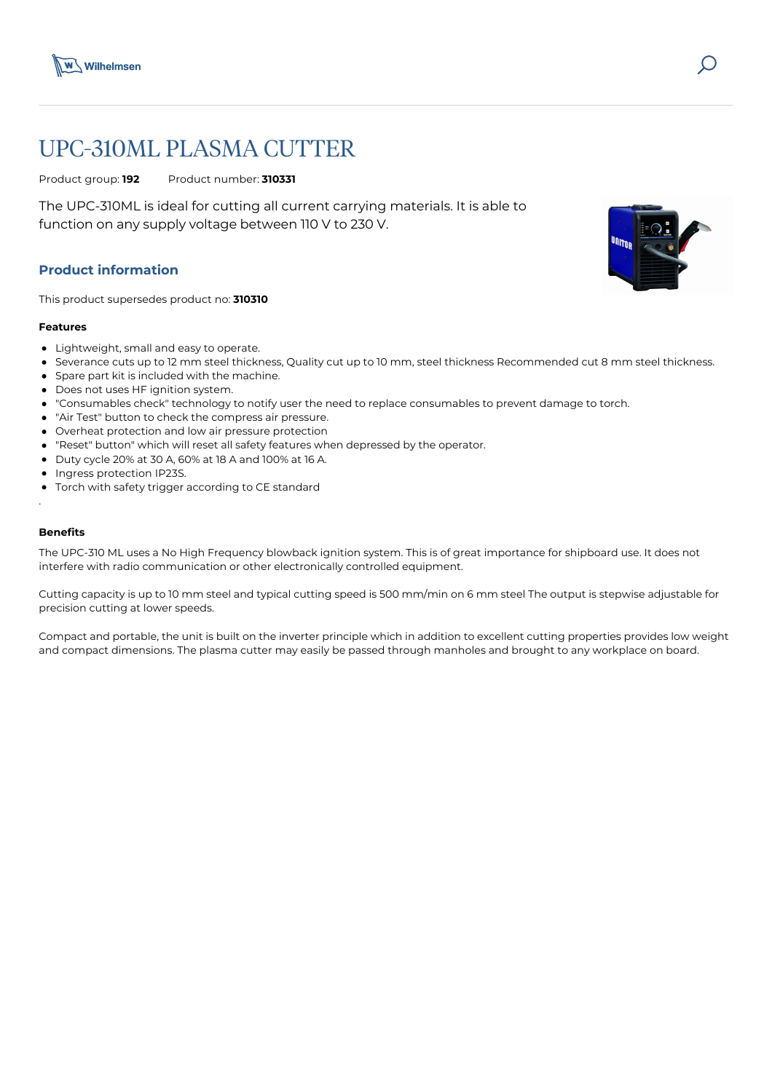

# UPC-310ML PLASMA CUTTER

Product group: **192** Product number: **310331**

The UPC-310ML is ideal for cutting all current carrying materials. It is able to function on any supply voltage between 110 V to 230 V.

# **Product information**

This product supersedes product no: **310310**

#### **Features**

- Lightweight, small and easy to operate.
- Severance cuts up to 12 mm steel thickness, Quality cut up to 10 mm, steel thickness Recommended cut 8 mm steel thickness.
- Spare part kit is included with the machine.
- Does not uses HF ignition system.
- "Consumables check" technology to notify user the need to replace consumables to prevent damage to torch.
- "Air Test" button to check the compress air pressure.
- Overheat protection and low air pressure protection
- "Reset" button" which will reset all safety features when depressed by the operator.
- Duty cycle 20% at 30 A, 60% at 18 A and 100% at 16 A.
- Ingress protection IP23S.
- Torch with safety trigger according to CE standard

## **Benefits**

.

The UPC-310 ML uses a No High Frequency blowback ignition system. This is of great importance for shipboard use. It does not interfere with radio communication or other electronically controlled equipment.

Cutting capacity is up to 10 mm steel and typical cutting speed is 500 mm/min on 6 mm steel The output is stepwise adjustable for precision cutting at lower speeds.

Compact and portable, the unit is built on the inverter principle which in addition to excellent cutting properties provides low weight and compact dimensions. The plasma cutter may easily be passed through manholes and brought to any workplace on board.

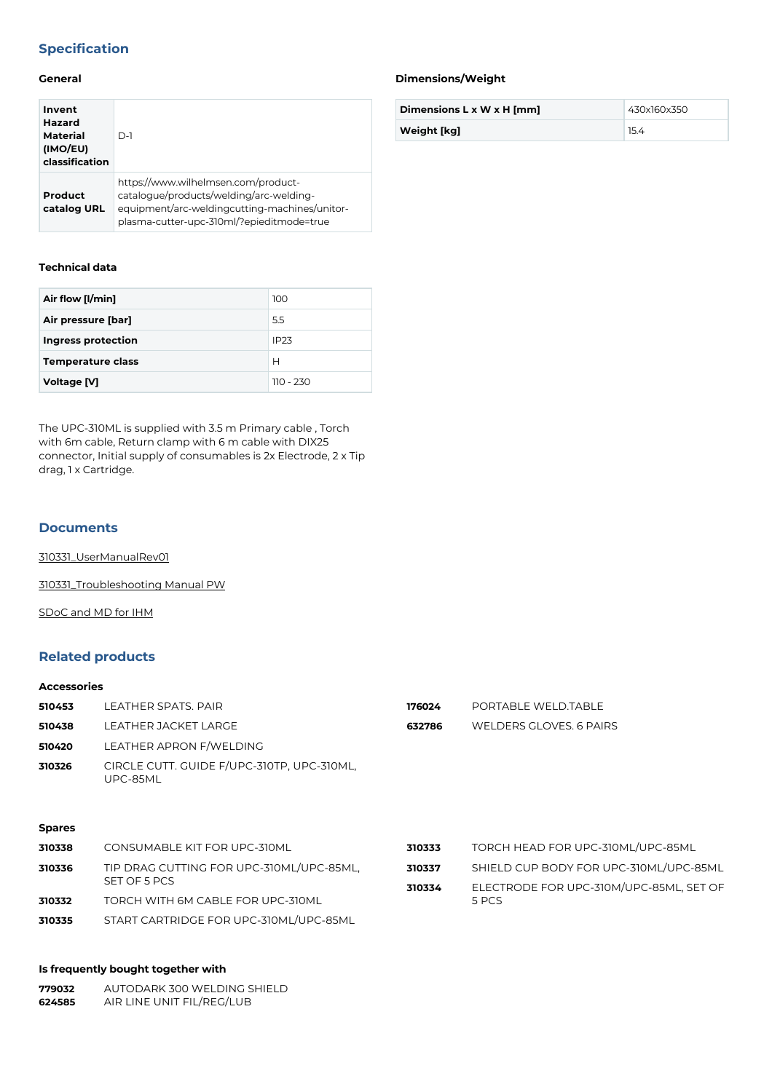# **Specification**

### **General**

| Invent<br><b>Hazard</b><br>Material<br>(IMO/EU)<br>classification | $D-1$                                                                                                                                                                        |
|-------------------------------------------------------------------|------------------------------------------------------------------------------------------------------------------------------------------------------------------------------|
| Product<br>catalog URL                                            | https://www.wilhelmsen.com/product-<br>catalogue/products/welding/arc-welding-<br>equipment/arc-weldingcutting-machines/unitor-<br>plasma-cutter-upc-310ml/?epieditmode=true |

## **Technical data**

| Air flow [I/min]          | 100              |
|---------------------------|------------------|
| Air pressure [bar]        | 5.5              |
| <b>Ingress protection</b> | IP <sub>23</sub> |
| <b>Temperature class</b>  | Н                |
| Voltage [V]               | $110 - 230$      |

The UPC-310ML is supplied with 3.5 m Primary cable , Torch with 6m cable, Return clamp with 6 m cable with DIX25 connector, Initial supply of consumables is 2x Electrode, 2 x Tip drag, 1 x Cartridge.

#### **Documents**

[310331\\_UserManualRev01](https://media.bluestonepim.com/e4deb258-8122-4fdf-9d12-b42f3e0e812d/cc94d101-3e28-4661-ada1-cf7abc167f0f/UCPt1FoG8faPNAyyErTi7bIG2/7KD6Lx9m6obFAOiQU0TIaXDez.pdf)

[310331\\_Troubleshooting Manual PW](https://media.bluestonepim.com/e4deb258-8122-4fdf-9d12-b42f3e0e812d/c46460a2-b898-4da7-ab6d-8cc7a3aff6d8/v4Z1zunMyEzxvoHx2caKyz0Ta/Dwv1GCbusmQrR6Q7CCGduXjND.pdf)

[SDoC and MD for IHM](https://media.bluestonepim.com/e4deb258-8122-4fdf-9d12-b42f3e0e812d/497cf249-b3b7-4b04-83d3-cc7f5ccbac82/fdlXfIEaGsZiSUIf0CKWH7eKv/qLG7T1rRcaMj7jQcKN7PjPjsX.pdf)

## **Related products**

#### **Accessories**

| 510453        | LEATHER SPATS. PAIR                                    | 176024 | PORTABLE WELD.TABLE     |
|---------------|--------------------------------------------------------|--------|-------------------------|
| 510438        | LEATHER JACKET LARGE                                   | 632786 | WELDERS GLOVES, 6 PAIRS |
| 510420        | LEATHER APRON F/WELDING                                |        |                         |
| 310326        | CIRCLE CUTT. GUIDE F/UPC-310TP, UPC-310ML,<br>UPC-85ML |        |                         |
| <b>Spares</b> |                                                        |        |                         |

| 310338 | CONSUMABLE KIT FOR UPC-310ML             | 310333 | TORCH HEAD FOR UPC-310ML/UPC-85ML       |
|--------|------------------------------------------|--------|-----------------------------------------|
| 310336 | TIP DRAG CUTTING FOR UPC-310ML/UPC-85ML, | 310337 | SHIELD CUP BODY FOR UPC-310ML/UPC-85ML  |
|        | SET OF 5 PCS                             | 310334 | ELECTRODE FOR UPC-310M/UPC-85ML, SET OF |
| 310332 | TORCH WITH 6M CABLE FOR UPC-310ML        |        | 5 PCS                                   |
| 310335 | START CARTRIDGE FOR UPC-310ML/UPC-85ML   |        |                                         |

## **Is frequently bought together with**

| 779032 | AUTODARK 300 WELDING SHIELD |
|--------|-----------------------------|
| 624585 | AIR LINE UNIT FIL/REG/LUB   |

#### **Dimensions/Weight**

| Dimensions L x W x H [mm] | 430x160x350 |
|---------------------------|-------------|
| Weight [kg]               |             |